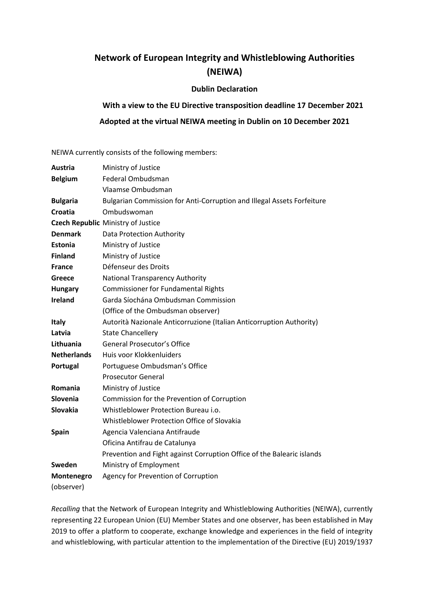# **Network of European Integrity and Whistleblowing Authorities (NEIWA)**

### **Dublin Declaration**

## **With a view to the EU Directive transposition deadline 17 December 2021**

## **Adopted at the virtual NEIWA meeting in Dublin on 10 December 2021**

NEIWA currently consists of the following members:

| Austria            | Ministry of Justice                                                    |
|--------------------|------------------------------------------------------------------------|
| <b>Belgium</b>     | Federal Ombudsman                                                      |
|                    | Vlaamse Ombudsman                                                      |
| <b>Bulgaria</b>    | Bulgarian Commission for Anti-Corruption and Illegal Assets Forfeiture |
| Croatia            | Ombudswoman                                                            |
|                    | <b>Czech Republic Ministry of Justice</b>                              |
| <b>Denmark</b>     | Data Protection Authority                                              |
| <b>Estonia</b>     | Ministry of Justice                                                    |
| <b>Finland</b>     | Ministry of Justice                                                    |
| <b>France</b>      | Défenseur des Droits                                                   |
| <b>Greece</b>      | <b>National Transparency Authority</b>                                 |
| <b>Hungary</b>     | <b>Commissioner for Fundamental Rights</b>                             |
| <b>Ireland</b>     | Garda Síochána Ombudsman Commission                                    |
|                    | (Office of the Ombudsman observer)                                     |
| <b>Italy</b>       | Autorità Nazionale Anticorruzione (Italian Anticorruption Authority)   |
| Latvia             | <b>State Chancellery</b>                                               |
| Lithuania          | <b>General Prosecutor's Office</b>                                     |
| <b>Netherlands</b> | Huis voor Klokkenluiders                                               |
| Portugal           | Portuguese Ombudsman's Office                                          |
|                    | <b>Prosecutor General</b>                                              |
| Romania            | Ministry of Justice                                                    |
| Slovenia           | Commission for the Prevention of Corruption                            |
| Slovakia           | Whistleblower Protection Bureau i.o.                                   |
|                    | Whistleblower Protection Office of Slovakia                            |
| <b>Spain</b>       | Agencia Valenciana Antifraude                                          |
|                    | Oficina Antifrau de Catalunya                                          |
|                    | Prevention and Fight against Corruption Office of the Balearic islands |
| Sweden             | Ministry of Employment                                                 |
| Montenegro         | Agency for Prevention of Corruption                                    |
| (observer)         |                                                                        |

*Recalling* that the Network of European Integrity and Whistleblowing Authorities (NEIWA), currently representing 22 European Union (EU) Member States and one observer, has been established in May 2019 to offer a platform to cooperate, exchange knowledge and experiences in the field of integrity and whistleblowing, with particular attention to the implementation of the Directive (EU) 2019/1937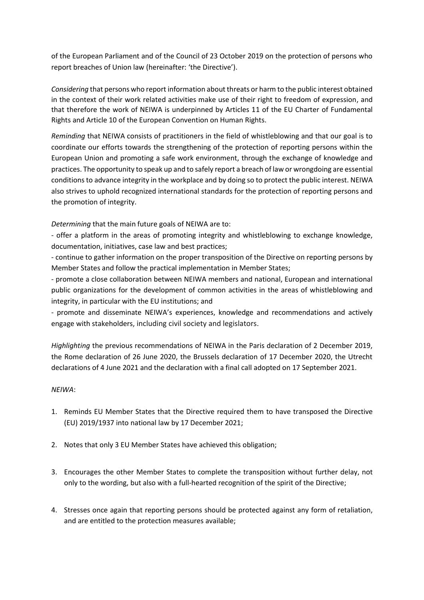of the European Parliament and of the Council of 23 October 2019 on the protection of persons who report breaches of Union law (hereinafter: 'the Directive').

*Considering* that persons who report information about threats or harm to the public interest obtained in the context of their work related activities make use of their right to freedom of expression, and that therefore the work of NEIWA is underpinned by Articles 11 of the EU Charter of Fundamental Rights and Article 10 of the European Convention on Human Rights.

*Reminding* that NEIWA consists of practitioners in the field of whistleblowing and that our goal is to coordinate our efforts towards the strengthening of the protection of reporting persons within the European Union and promoting a safe work environment, through the exchange of knowledge and practices. The opportunity to speak up and to safely report a breach of law or wrongdoing are essential conditionsto advance integrity in the workplace and by doing so to protect the public interest. NEIWA also strives to uphold recognized international standards for the protection of reporting persons and the promotion of integrity.

*Determining* that the main future goals of NEIWA are to:

- offer a platform in the areas of promoting integrity and whistleblowing to exchange knowledge, documentation, initiatives, case law and best practices;

- continue to gather information on the proper transposition of the Directive on reporting persons by Member States and follow the practical implementation in Member States;

- promote a close collaboration between NEIWA members and national, European and international public organizations for the development of common activities in the areas of whistleblowing and integrity, in particular with the EU institutions; and

- promote and disseminate NEIWA's experiences, knowledge and recommendations and actively engage with stakeholders, including civil society and legislators.

*Highlighting* the previous recommendations of NEIWA in the Paris declaration of 2 December 2019, the Rome declaration of 26 June 2020, the Brussels declaration of 17 December 2020, the Utrecht declarations of 4 June 2021 and the declaration with a final call adopted on 17 September 2021.

### *NEIWA*:

- 1. Reminds EU Member States that the Directive required them to have transposed the Directive (EU) 2019/1937 into national law by 17 December 2021;
- 2. Notes that only 3 EU Member States have achieved this obligation;
- 3. Encourages the other Member States to complete the transposition without further delay, not only to the wording, but also with a full-hearted recognition of the spirit of the Directive;
- 4. Stresses once again that reporting persons should be protected against any form of retaliation, and are entitled to the protection measures available;